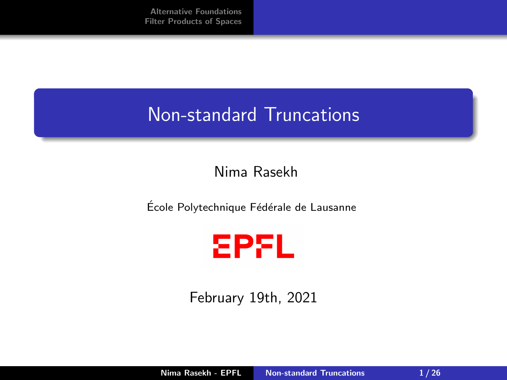## <span id="page-0-0"></span>Non-standard Truncations

#### Nima Rasekh

École Polytechnique Fédérale de Lausanne



February 19th, 2021

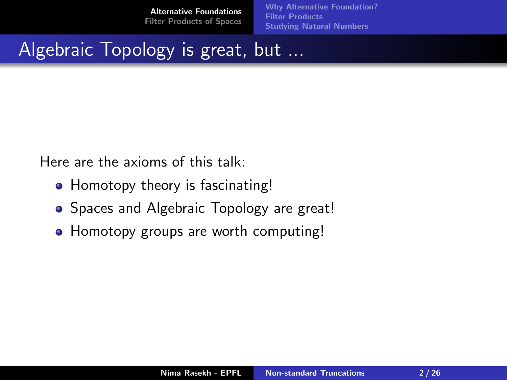[Why Alternative Foundation?](#page-3-0) **[Filter Products](#page-5-0)** [Studying Natural Numbers](#page-11-0)

# <span id="page-1-0"></span>Algebraic Topology is great, but ...

Here are the axioms of this talk:

- Homotopy theory is fascinating!
- Spaces and Algebraic Topology are great!
- Homotopy groups are worth computing!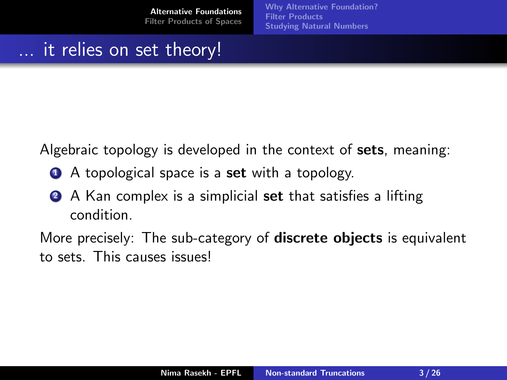[Why Alternative Foundation?](#page-3-0) **[Filter Products](#page-5-0)** [Studying Natural Numbers](#page-11-0)

### it relies on set theory!

Algebraic topology is developed in the context of **sets**, meaning:

- A topological space is a **set** with a topology.
- **2** A Kan complex is a simplicial **set** that satisfies a lifting condition.

More precisely: The sub-category of **discrete objects** is equivalent to sets. This causes issues!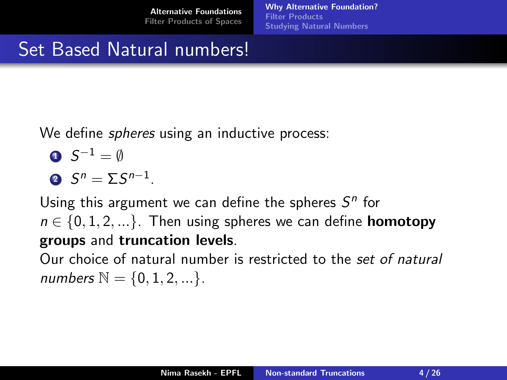[Why Alternative Foundation?](#page-3-0) [Filter Products](#page-5-0) [Studying Natural Numbers](#page-11-0)

## <span id="page-3-0"></span>Set Based Natural numbers!

We define *spheres* using an inductive process:

$$
\bullet \ \ S^{-1} = \emptyset
$$

$$
\bullet \ \ S^n = \Sigma S^{n-1}.
$$

Using this argument we can define the spheres  $S<sup>n</sup>$  for  $n \in \{0, 1, 2, ...\}$ . Then using spheres we can define **homotopy** groups and truncation levels.

Our choice of natural number is restricted to the set of natural numbers  $N = \{0, 1, 2, ...\}$ .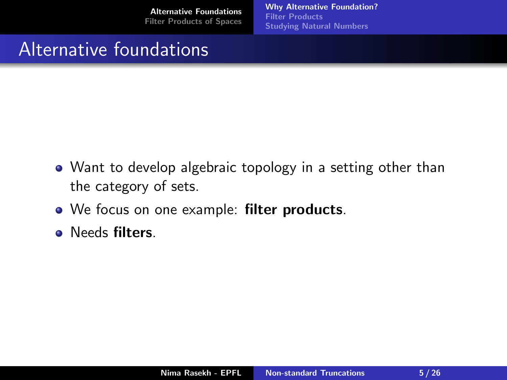[Why Alternative Foundation?](#page-3-0) [Filter Products](#page-5-0) [Studying Natural Numbers](#page-11-0)

## Alternative foundations

- Want to develop algebraic topology in a setting other than the category of sets.
- We focus on one example: **filter products**.
- **•** Needs filters.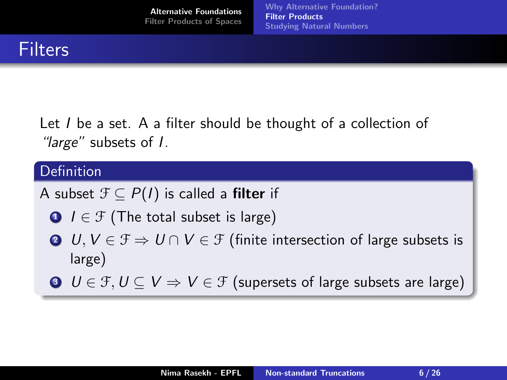<span id="page-5-0"></span>Let I be a set. A a filter should be thought of a collection of "*large*" subsets of *I*.

#### Definition

A subset  $\mathcal{F} \subseteq P(I)$  is called a **filter** if

- $\bigcirc$   $I \in \mathcal{F}$  (The total subset is large)
- **4**  $U, V \in \mathcal{F} \Rightarrow U \cap V \in \mathcal{F}$  (finite intersection of large subsets is large)
- $\bigcirc$   $U \in \mathcal{F}, U \subseteq V \Rightarrow V \in \mathcal{F}$  (supersets of large subsets are large)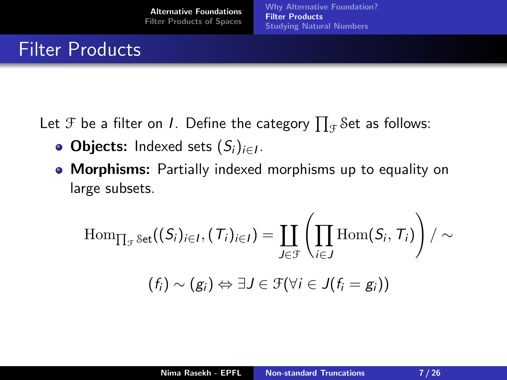## Filter Products

Let  ${\mathfrak{F}}$  be a filter on  $I.$  Define the category  $\prod_{\mathfrak{F}}\operatorname{\mathcal{S}et}$  as follows:

- **Objects:** Indexed sets  $(S_i)_{i \in I}$ .
- Morphisms: Partially indexed morphisms up to equality on large subsets.

$$
\begin{aligned} \operatorname{Hom}_{\prod_{\mathcal{F}}\operatorname{Set}}((S_i)_{i\in I},(\mathcal{T}_i)_{i\in I})&=\coprod_{J\in\mathcal{F}}\left(\prod_{i\in J}\operatorname{Hom}(S_i,\mathcal{T}_i)\right)/\sim\\ & (f_i)\sim (g_i)\Leftrightarrow \exists J\in\mathcal{F}(\forall i\in J(f_i=g_i))\end{aligned}
$$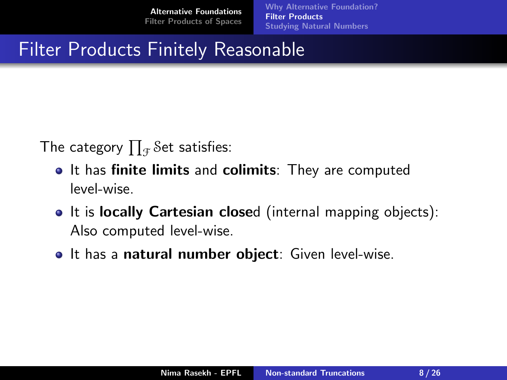[Why Alternative Foundation?](#page-3-0) [Filter Products](#page-5-0) [Studying Natural Numbers](#page-11-0)

## Filter Products Finitely Reasonable

The category  $\prod_{\mathcal{F}}\mathcal{S}$ et satisfies:

- It has finite limits and colimits: They are computed level-wise.
- It is locally Cartesian closed (internal mapping objects): Also computed level-wise.
- It has a natural number object: Given level-wise.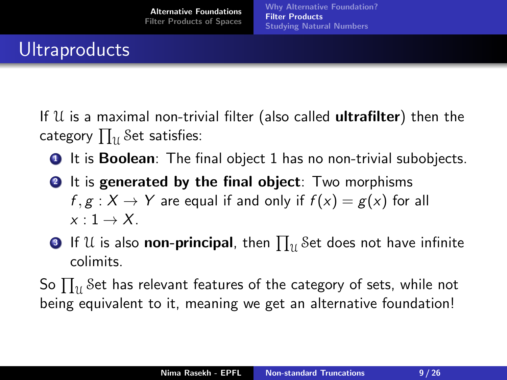# **Ultraproducts**

If  $U$  is a maximal non-trivial filter (also called **ultrafilter**) then the category  $\prod_{\mathcal{U}}\mathcal{S}$ et satisfies:

- **1** It is **Boolean**: The final object 1 has no non-trivial subobjects.
- **2** It is generated by the final object: Two morphisms  $f, g: X \to Y$  are equal if and only if  $f(x) = g(x)$  for all  $x \cdot 1 \rightarrow X$
- $\bullet$  If  $\mathfrak U$  is also **non-principal**, then  $\prod_{\mathfrak U}$  Set does not have infinite colimits.

So  $\prod_\mathcal{U}$ Set has relevant features of the category of sets, while not being equivalent to it, meaning we get an alternative foundation!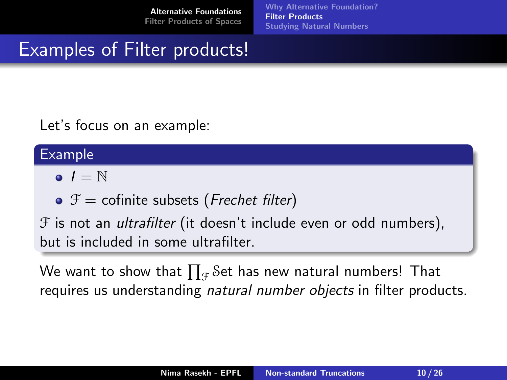[Why Alternative Foundation?](#page-3-0) [Filter Products](#page-5-0) [Studying Natural Numbers](#page-11-0)

## Examples of Filter products!

Let's focus on an example:

#### Example

- $\bullet$   $I = N$
- $\bullet$   $\mathcal{F}$  = cofinite subsets (*Frechet filter*)

 $F$  is not an *ultrafilter* (it doesn't include even or odd numbers), but is included in some ultrafilter.

We want to show that  $\prod_{\mathcal{F}}\mathcal{S}% (A)\neq\emptyset$ et has new natural numbers! That requires us understanding natural number objects in filter products.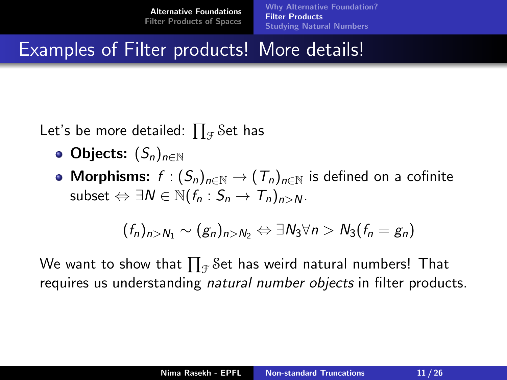[Why Alternative Foundation?](#page-3-0) [Filter Products](#page-5-0) [Studying Natural Numbers](#page-11-0)

Examples of Filter products! More details!

Let's be more detailed:  $\prod_{\mathcal{F}}\mathcal{S}% _{\mathcal{F}}$ et has

- Objects:  $(S_n)_{n \in \mathbb{N}}$
- Morphisms:  $f : (S_n)_{n \in \mathbb{N}} \to (T_n)_{n \in \mathbb{N}}$  is defined on a cofinite subset  $\Leftrightarrow \exists N \in \mathbb{N} (f_n : S_n \to T_n)_{n>N}$ .

$$
(f_n)_{n>N_1} \sim (g_n)_{n>N_2} \Leftrightarrow \exists N_3 \forall n > N_3 (f_n = g_n)
$$

We want to show that  $\prod_{\mathcal{F}}\operatorname{\mathcal{S}et}$  has weird natural numbers! <code>That</code> requires us understanding *natural number objects* in filter products.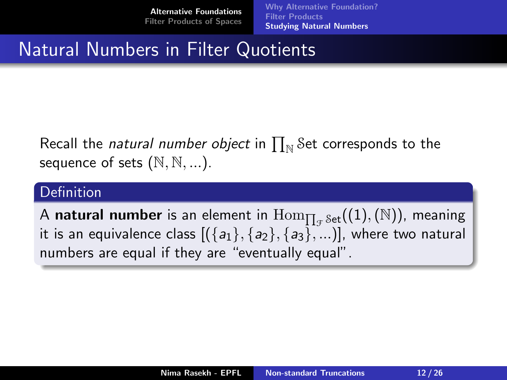[Why Alternative Foundation?](#page-3-0) [Filter Products](#page-5-0) [Studying Natural Numbers](#page-11-0)

## <span id="page-11-0"></span>Natural Numbers in Filter Quotients

Recall the *natural number object* in  $\prod_{\mathbb N}$  Set corresponds to the sequence of sets  $(\mathbb{N}, \mathbb{N}, \dots)$ .

#### **Definition**

A natural number is an element in  $\mathrm{Hom}_{\prod_{\mathcal{F}}\mathrm{Set}}((1),(\mathbb{N}))$ , meaning it is an equivalence class  $[(\{a_1\}, \{a_2\}, \{a_3\}, ...)$ , where two natural numbers are equal if they are "eventually equal".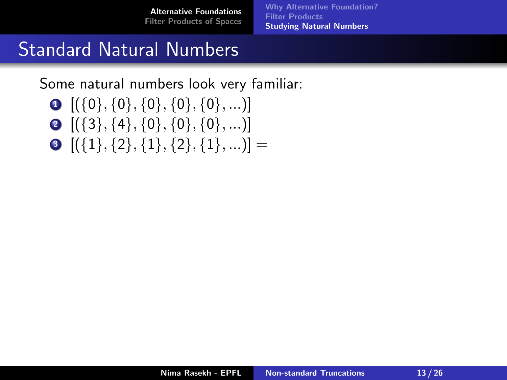[Why Alternative Foundation?](#page-3-0) **[Filter Products](#page-5-0)** [Studying Natural Numbers](#page-11-0)

## Standard Natural Numbers

Some natural numbers look very familiar:

- $\bullet$   $[(\{0\}, \{0\}, \{0\}, \{0\}, \{0\}, \ldots)]$
- $\bullet$  [({3}, {4}, {0}, {0}, {0}, ...)]
- $\bullet$   $[(\{1\}, \{2\}, \{1\}, \{2\}, \{1\}, \ldots)] =$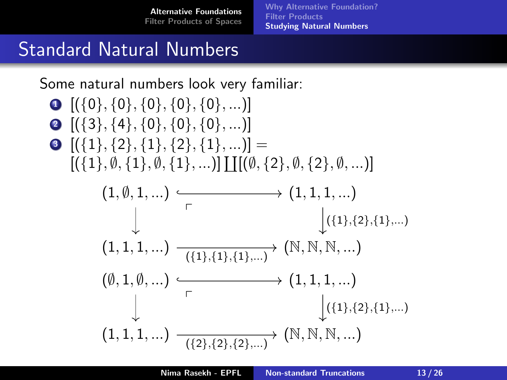[Why Alternative Foundation?](#page-3-0) **[Filter Products](#page-5-0)** [Studying Natural Numbers](#page-11-0)

## Standard Natural Numbers

Some natural numbers look very familiar:

 $\bullet$   $[(\{0\}, \{0\}, \{0\}, \{0\}, \{0\}, \ldots)]$  $\bullet$  [({3}, {4}, {0}, {0}, {0}, ...)]  $\bullet$   $[(\{1\}, \{2\}, \{1\}, \{2\}, \{1\}, \ldots)] =$  $[(\{1\}, \emptyset, \{1\}, \emptyset, \{1\}, \ldots)] \coprod [\emptyset, \{2\}, \emptyset, \{2\}, \emptyset, \ldots)]$  $(1, \emptyset, 1, ...) \longrightarrow (1, 1, 1, ...)$  $(1, 1, 1, ...)$   $\frac{\cdots}{(\{1\},\{1\},\{1\},...)}$   $(\mathbb{N}, \mathbb{N}, \mathbb{N}, ...)$ p  $({1},({2},({1},...))$  $(\emptyset, 1, \emptyset, ...) \longrightarrow (1, 1, 1, ...)$  $(1, 1, 1, ...)$   $\frac{1}{(\{2\}, \{2\}, \{2\}, ...)}$   $(\mathbb{N}, \mathbb{N}, \mathbb{N}, ...)$ p  $({1},({2},({1},...))$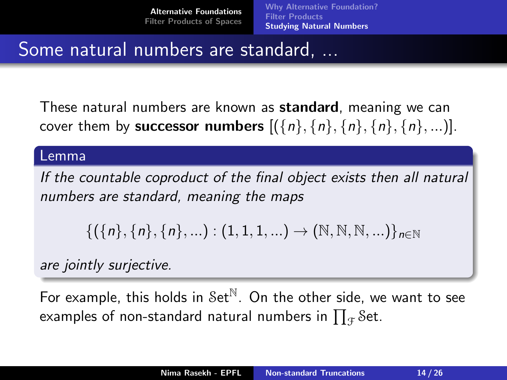[Why Alternative Foundation?](#page-3-0) [Filter Products](#page-5-0) [Studying Natural Numbers](#page-11-0)

## Some natural numbers are standard, ...

These natural numbers are known as standard, meaning we can cover them by **successor numbers**  $[(\{n\}, \{n\}, \{n\}, \{n\}, \{n\}, \{n\}, \ldots)].$ 

#### Lemma

If the countable coproduct of the final object exists then all natural numbers are standard, meaning the maps

$$
\{(\{n\},\{n\},\{n\},...): (1,1,1,...) \to (\mathbb{N},\mathbb{N},\mathbb{N},...)\}_{n \in \mathbb{N}}
$$

are jointly surjective.

For example, this holds in  $Set^{\mathbb{N}}$ . On the other side, we want to see examples of non-standard natural numbers in  $\prod_{\mathcal{F}}\operatorname{Set}.$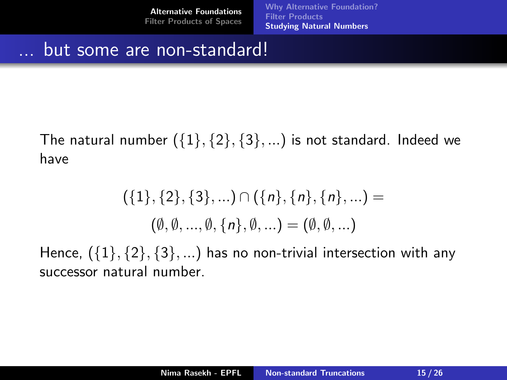[Why Alternative Foundation?](#page-3-0) **[Filter Products](#page-5-0)** [Studying Natural Numbers](#page-11-0)

#### but some are non-standard!

The natural number  $({1}, {2}, {3}, ...)$  is not standard. Indeed we have

$$
(\{1\},\{2\},\{3\},\ldots)\cap(\{n\},\{n\},\{n\},\ldots) =
$$

$$
(\emptyset,\emptyset,\ldots,\emptyset,\{n\},\emptyset,\ldots) = (\emptyset,\emptyset,\ldots)
$$

Hence,  $({1}, {2}, {3}, ...)$  has no non-trivial intersection with any successor natural number.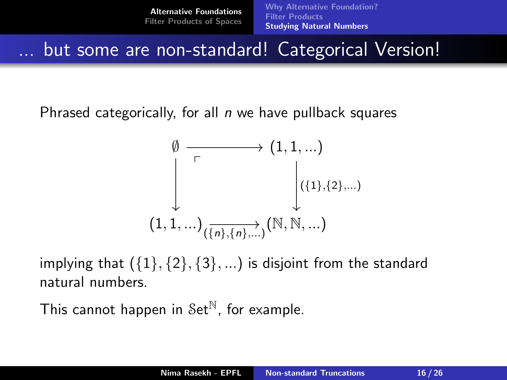[Alternative Foundations](#page-1-0) [Filter Products of Spaces](#page-18-0) [Why Alternative Foundation?](#page-3-0) [Filter Products](#page-5-0) [Studying Natural Numbers](#page-11-0)

but some are non-standard! Categorical Version!

Phrased categorically, for all  $n$  we have pullback squares

$$
\emptyset \xrightarrow[\begin{array}{c} \rdash \\ \begin{array}{ccc} \rdash \\ \begin{array}{ccc} \rdash \\ \hline \end{array} & \quad \ (1,1,...)\\ & \quad \ ( \{1\},\{2\},... )\\ & \quad \ (1,1,...)_{(\overline{\{n\}},\{n\},... )}(\mathbb{N},\mathbb{N},... ) \end{array}
$$

implying that  $({1}, {2}, {3}, ...)$  is disjoint from the standard natural numbers.

This cannot happen in  $Set^{\mathbb{N}}$ , for example.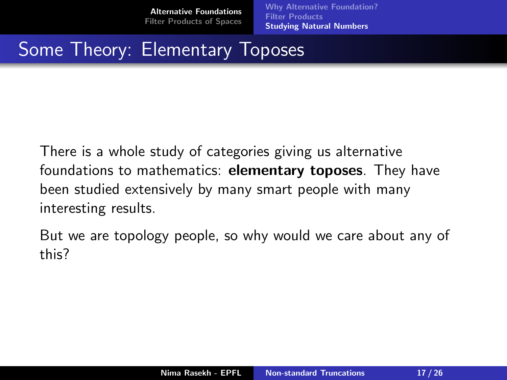[Why Alternative Foundation?](#page-3-0) [Filter Products](#page-5-0) [Studying Natural Numbers](#page-11-0)

# Some Theory: Elementary Toposes

There is a whole study of categories giving us alternative foundations to mathematics: elementary toposes. They have been studied extensively by many smart people with many interesting results.

But we are topology people, so why would we care about any of this?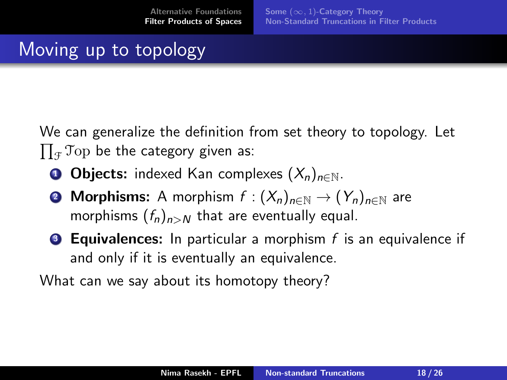# <span id="page-18-0"></span>Moving up to topology

We can generalize the definition from set theory to topology. Let  $\prod_{\mathcal{F}}$ Top be the category given as:

- **1 Objects:** indexed Kan complexes  $(X_n)_{n\in\mathbb{N}}$ .
- **2 Morphisms:** A morphism  $f: (X_n)_{n\in\mathbb{N}} \to (Y_n)_{n\in\mathbb{N}}$  are morphisms  $(f_n)_{n>N}$  that are eventually equal.
- **3 Equivalences:** In particular a morphism  $f$  is an equivalence if and only if it is eventually an equivalence.

What can we say about its homotopy theory?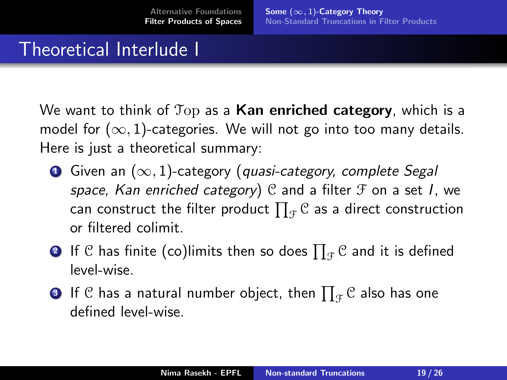### <span id="page-19-0"></span>Theoretical Interlude I

We want to think of  $Top$  as a Kan enriched category, which is a model for  $(\infty, 1)$ -categories. We will not go into too many details. Here is just a theoretical summary:

- **O** Given an  $(\infty, 1)$ -category (quasi-category, complete Segal space, Kan enriched category)  $C$  and a filter  $F$  on a set I, we can construct the filter product  $\prod_{\mathcal{F}}\mathcal{C}$  as a direct construction or filtered colimit.
- $\boldsymbol{2}$  If  ${\mathcal C}$  has finite (co)limits then so does  $\prod_{\mathcal F} {\mathcal C}$  and it is defined level-wise.
- $\textbf{3}$  If  ${\mathcal C}$  has a natural number object, then  $\prod_{\mathcal F} {\mathcal C}$  also has one defined level-wise.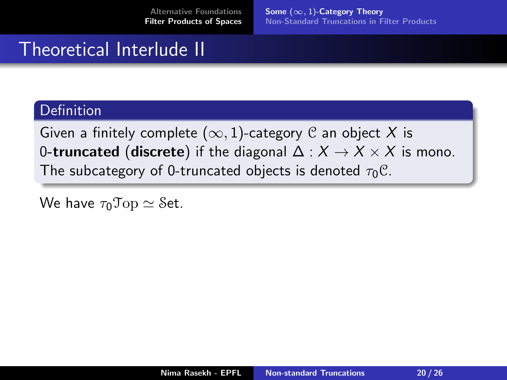Some  $(\infty, 1)$ [-Category Theory](#page-19-0) [Non-Standard Truncations in Filter Products](#page-22-0)

## Theoretical Interlude II

#### **Definition**

Given a finitely complete  $(\infty, 1)$ -category  $\mathcal C$  an object X is 0-truncated (discrete) if the diagonal  $\Delta: X \to X \times X$  is mono. The subcategory of 0-truncated objects is denoted  $\tau_0 C$ .

We have  $\tau_0$ Top  $\simeq$  Set.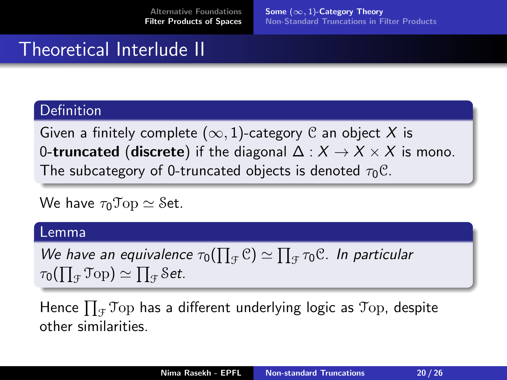Some  $(\infty, 1)$ [-Category Theory](#page-19-0) [Non-Standard Truncations in Filter Products](#page-22-0)

## Theoretical Interlude II

#### Definition

Given a finitely complete ( $\infty$ , 1)-category C an object X is 0-truncated (discrete) if the diagonal  $\Delta: X \to X \times X$  is mono. The subcategory of 0-truncated objects is denoted  $\tau_0 C$ .

We have  $\tau_0$ Top  $\simeq$  Set.

#### Lemma

We have an equivalence  $\tau_0(\prod_{\mathcal{F}}\mathcal{C})\simeq \prod_{\mathcal{F}}\tau_0\mathcal{C}$ . In particular  $\tau_0(\prod_{\mathcal{F}}\mathfrak{T}\mathrm{op})\simeq \prod_{\mathcal{F}}\mathcal{S}$ et.

Hence  $\prod_{\mathcal{F}}$ Top has a different underlying logic as Top, despite other similarities.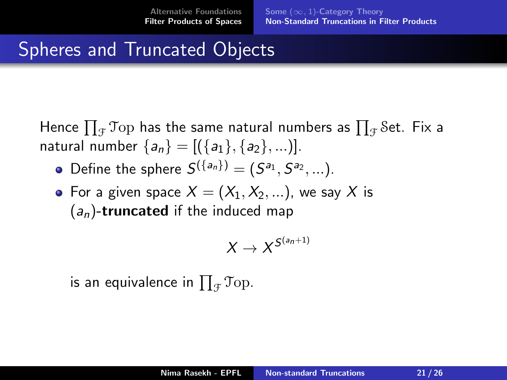# <span id="page-22-0"></span>Spheres and Truncated Objects

Hence  $\prod_{\mathcal{F}} \mathfrak{Top}$  has the same natural numbers as  $\prod_{\mathcal{F}} \mathcal{S}$ et. Fix a natural number  $\{a_n\} = [(\{a_1\}, \{a_2\}, \ldots)].$ 

- Define the sphere  $S^{(\{a_n\})} = (S^{a_1}, S^{a_2}, ...)$ .
- For a given space  $X = (X_1, X_2, ...)$ , we say X is  $(a_n)$ -truncated if the induced map

$$
X\to X^{S^{(a_n+1)}}
$$

is an equivalence in  $\prod_{\mathcal{F}}\mathfrak{Top}.$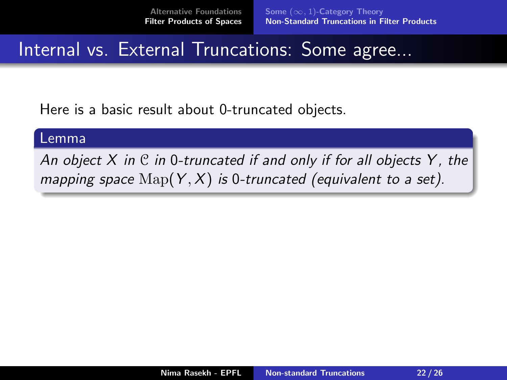### Internal vs. External Truncations: Some agree...

Here is a basic result about 0-truncated objects.

#### Lemma

An object  $X$  in  $C$  in 0-truncated if and only if for all objects  $Y$ , the mapping space  $\text{Map}(Y, X)$  is 0-truncated (equivalent to a set).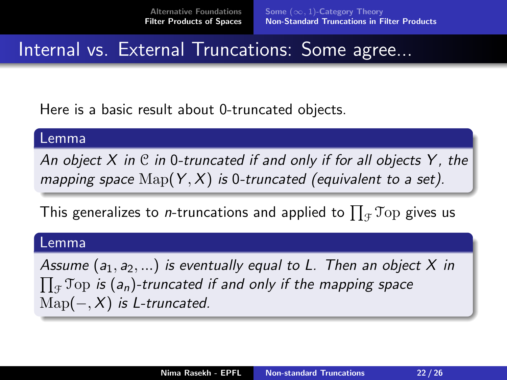### Internal vs. External Truncations: Some agree...

Here is a basic result about 0-truncated objects.

#### Lemma

An object X in  $\mathfrak C$  in 0-truncated if and only if for all objects Y, the mapping space  $\text{Map}(Y, X)$  is 0-truncated (equivalent to a set).

This generalizes to *n*-truncations and applied to  $\prod_{\mathcal{F}}\mathfrak{Top}$  gives us

#### Lemma

Assume  $(a_1, a_2, \ldots)$  is eventually equal to L. Then an object X in  $\prod_{\mathcal{F}}$ Top is (a<sub>n</sub>)-truncated if and only if the mapping space  $\mathrm{Map}(-, X)$  is L-truncated.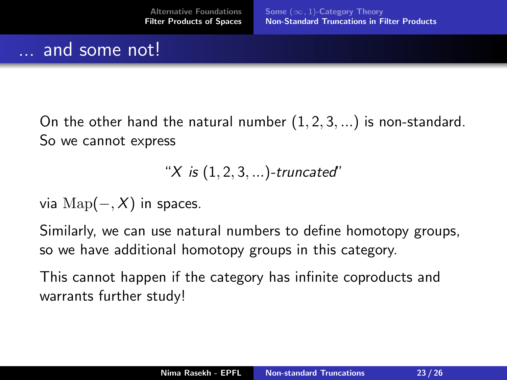#### and some not!

On the other hand the natural number  $(1, 2, 3, \ldots)$  is non-standard. So we cannot express

"
$$
X
$$
 is  $(1, 2, 3, ...)$ -truncated'

via  $\text{Map}(-, X)$  in spaces.

Similarly, we can use natural numbers to define homotopy groups, so we have additional homotopy groups in this category.

This cannot happen if the category has infinite coproducts and warrants further study!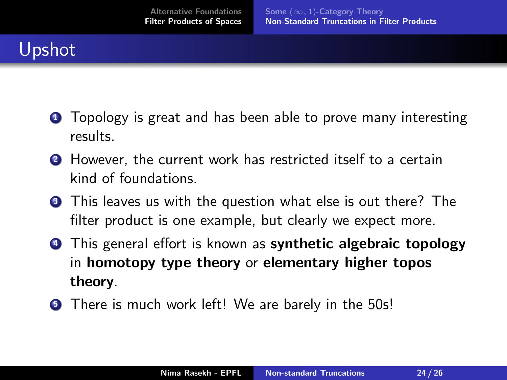# Upshot

- **1** Topology is great and has been able to prove many interesting results.
- **2** However, the current work has restricted itself to a certain kind of foundations.
- **3** This leaves us with the question what else is out there? The filter product is one example, but clearly we expect more.
- **4** This general effort is known as **synthetic algebraic topology** in homotopy type theory or elementary higher topos theory.
- **•** There is much work left! We are barely in the 50s!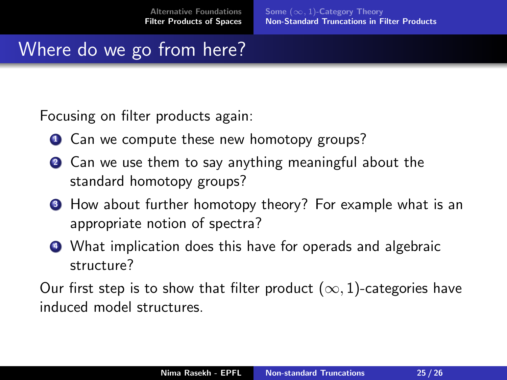# Where do we go from here?

Focusing on filter products again:

- **1** Can we compute these new homotopy groups?
- **2** Can we use them to say anything meaningful about the standard homotopy groups?
- **3** How about further homotopy theory? For example what is an appropriate notion of spectra?
- <sup>4</sup> What implication does this have for operads and algebraic structure?

Our first step is to show that filter product  $(\infty, 1)$ -categories have induced model structures.